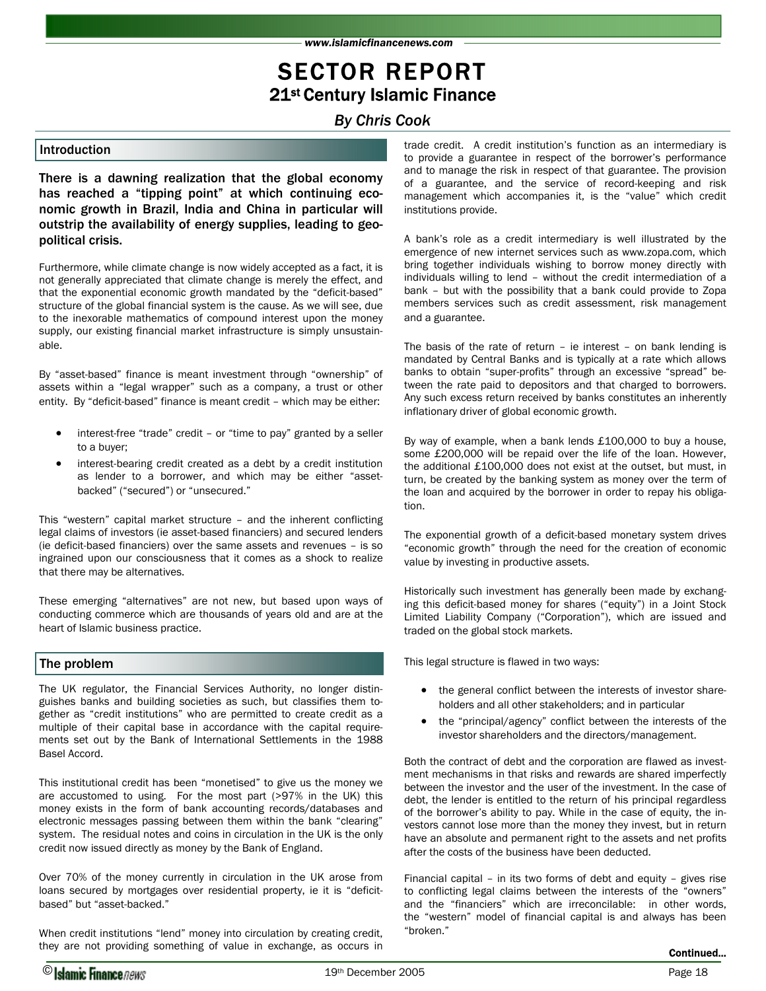*www.islamicfinancenews.com* 

### SECTOR REPORT 21st Century Islamic Finance

*By Chris Cook* 

There is a dawning realization that the global economy has reached a "tipping point" at which continuing economic growth in Brazil, India and China in particular will outstrip the availability of energy supplies, leading to geopolitical crisis.

Furthermore, while climate change is now widely accepted as a fact, it is not generally appreciated that climate change is merely the effect, and that the exponential economic growth mandated by the "deficit-based" structure of the global financial system is the cause. As we will see, due to the inexorable mathematics of compound interest upon the money supply, our existing financial market infrastructure is simply unsustainable.

By "asset-based" finance is meant investment through "ownership" of assets within a "legal wrapper" such as a company, a trust or other entity. By "deficit-based" finance is meant credit – which may be either:

- interest-free "trade" credit or "time to pay" granted by a seller to a buyer;
- interest-bearing credit created as a debt by a credit institution as lender to a borrower, and which may be either "assetbacked" ("secured") or "unsecured."

This "western" capital market structure – and the inherent conflicting legal claims of investors (ie asset-based financiers) and secured lenders (ie deficit-based financiers) over the same assets and revenues – is so ingrained upon our consciousness that it comes as a shock to realize that there may be alternatives.

These emerging "alternatives" are not new, but based upon ways of conducting commerce which are thousands of years old and are at the heart of Islamic business practice.

### The problem

The UK regulator, the Financial Services Authority, no longer distinguishes banks and building societies as such, but classifies them together as "credit institutions" who are permitted to create credit as a multiple of their capital base in accordance with the capital requirements set out by the Bank of International Settlements in the 1988 Basel Accord.

This institutional credit has been "monetised" to give us the money we are accustomed to using. For the most part (>97% in the UK) this money exists in the form of bank accounting records/databases and electronic messages passing between them within the bank "clearing" system. The residual notes and coins in circulation in the UK is the only credit now issued directly as money by the Bank of England.

Over 70% of the money currently in circulation in the UK arose from loans secured by mortgages over residential property, ie it is "deficitbased" but "asset-backed."

When credit institutions "lend" money into circulation by creating credit, they are not providing something of value in exchange, as occurs in

Introduction trade credit. A credit institution's function as an intermediary is to provide a guarantee in respect of the borrower's performance and to manage the risk in respect of that guarantee. The provision of a guarantee, and the service of record-keeping and risk management which accompanies it, is the "value" which credit institutions provide.

> A bank's role as a credit intermediary is well illustrated by the emergence of new internet services such as www.zopa.com, which bring together individuals wishing to borrow money directly with individuals willing to lend – without the credit intermediation of a bank – but with the possibility that a bank could provide to Zopa members services such as credit assessment, risk management and a guarantee.

> The basis of the rate of return – ie interest – on bank lending is mandated by Central Banks and is typically at a rate which allows banks to obtain "super-profits" through an excessive "spread" between the rate paid to depositors and that charged to borrowers. Any such excess return received by banks constitutes an inherently inflationary driver of global economic growth.

> By way of example, when a bank lends £100,000 to buy a house, some £200,000 will be repaid over the life of the loan. However, the additional £100,000 does not exist at the outset, but must, in turn, be created by the banking system as money over the term of the loan and acquired by the borrower in order to repay his obligation.

> The exponential growth of a deficit-based monetary system drives "economic growth" through the need for the creation of economic value by investing in productive assets.

> Historically such investment has generally been made by exchanging this deficit-based money for shares ("equity") in a Joint Stock Limited Liability Company ("Corporation"), which are issued and traded on the global stock markets.

This legal structure is flawed in two ways:

- the general conflict between the interests of investor shareholders and all other stakeholders; and in particular
- the "principal/agency" conflict between the interests of the investor shareholders and the directors/management.

Both the contract of debt and the corporation are flawed as investment mechanisms in that risks and rewards are shared imperfectly between the investor and the user of the investment. In the case of debt, the lender is entitled to the return of his principal regardless of the borrower's ability to pay. While in the case of equity, the investors cannot lose more than the money they invest, but in return have an absolute and permanent right to the assets and net profits after the costs of the business have been deducted.

Financial capital – in its two forms of debt and equity – gives rise to conflicting legal claims between the interests of the "owners" and the "financiers" which are irreconcilable: in other words, the "western" model of financial capital is and always has been "broken."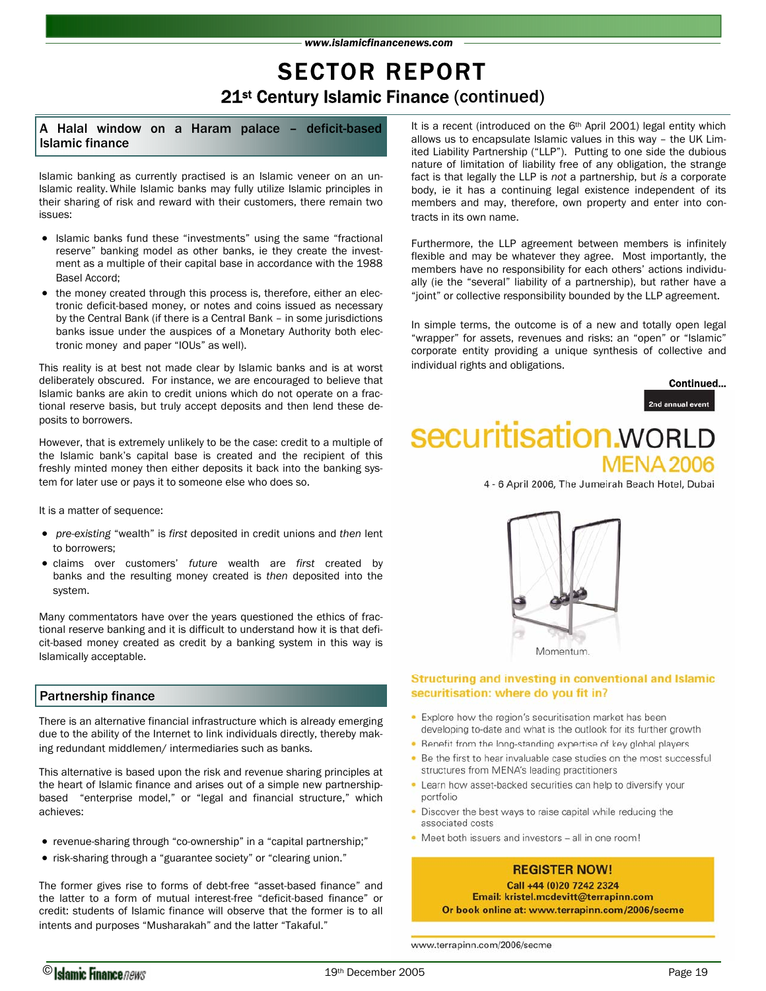## SECTOR REPORT 21st Century Islamic Finance (continued)

A Halal window on a Haram palace – deficit-based Islamic finance

Islamic banking as currently practised is an Islamic veneer on an un-Islamic reality. While Islamic banks may fully utilize Islamic principles in their sharing of risk and reward with their customers, there remain two issues:

- Islamic banks fund these "investments" using the same "fractional reserve" banking model as other banks, ie they create the investment as a multiple of their capital base in accordance with the 1988 Basel Accord;
- the money created through this process is, therefore, either an electronic deficit-based money, or notes and coins issued as necessary by the Central Bank (if there is a Central Bank – in some jurisdictions banks issue under the auspices of a Monetary Authority both electronic money and paper "IOUs" as well).

This reality is at best not made clear by Islamic banks and is at worst deliberately obscured. For instance, we are encouraged to believe that Islamic banks are akin to credit unions which do not operate on a fractional reserve basis, but truly accept deposits and then lend these deposits to borrowers.

However, that is extremely unlikely to be the case: credit to a multiple of the Islamic bank's capital base is created and the recipient of this freshly minted money then either deposits it back into the banking system for later use or pays it to someone else who does so.

It is a matter of sequence:

- *pre-existing* "wealth" is *first* deposited in credit unions and *then* lent to borrowers;
- claims over customers' *future* wealth are *first* created by banks and the resulting money created is *then* deposited into the system.

Many commentators have over the years questioned the ethics of fractional reserve banking and it is difficult to understand how it is that deficit-based money created as credit by a banking system in this way is Islamically acceptable.

### Partnership finance

There is an alternative financial infrastructure which is already emerging due to the ability of the Internet to link individuals directly, thereby making redundant middlemen/ intermediaries such as banks.

This alternative is based upon the risk and revenue sharing principles at the heart of Islamic finance and arises out of a simple new partnershipbased "enterprise model," or "legal and financial structure," which achieves:

- revenue-sharing through "co-ownership" in a "capital partnership;"
- risk-sharing through a "guarantee society" or "clearing union."

The former gives rise to forms of debt-free "asset-based finance" and the latter to a form of mutual interest-free "deficit-based finance" or credit: students of Islamic finance will observe that the former is to all intents and purposes "Musharakah" and the latter "Takaful."

It is a recent (introduced on the 6<sup>th</sup> April 2001) legal entity which allows us to encapsulate Islamic values in this way – the UK Limited Liability Partnership ("LLP"). Putting to one side the dubious nature of limitation of liability free of any obligation, the strange fact is that legally the LLP is *not* a partnership, but *is* a corporate body, ie it has a continuing legal existence independent of its members and may, therefore, own property and enter into contracts in its own name.

Furthermore, the LLP agreement between members is infinitely flexible and may be whatever they agree. Most importantly, the members have no responsibility for each others' actions individually (ie the "several" liability of a partnership), but rather have a "joint" or collective responsibility bounded by the LLP agreement.

In simple terms, the outcome is of a new and totally open legal "wrapper" for assets, revenues and risks: an "open" or "Islamic" corporate entity providing a unique synthesis of collective and individual rights and obligations.



# securitisation.woRLD **MENA 2006**

4 - 6 April 2006, The Jumeirah Beach Hotel, Dubai



### Structuring and investing in conventional and Islamic securitisation: where do you fit in?

- Explore how the region's securitisation market has been developing to-date and what is the outlook for its further growth
- Benefit from the long-standing expertise of key global players
- . Be the first to hear invaluable case studies on the most successful structures from MENA's leading practitioners
- Learn how asset-backed securities can help to diversify your portfolio
- Discover the best ways to raise capital while reducing the associated costs
- . Meet both issuers and investors all in one room!

### **REGISTER NOW!**

Call +44 (0)20 7242 2324 Email: kristel.mcdevitt@terrapinn.com Or book online at: www.terrapinn.com/2006/secme

www.terrapinn.com/2006/secme